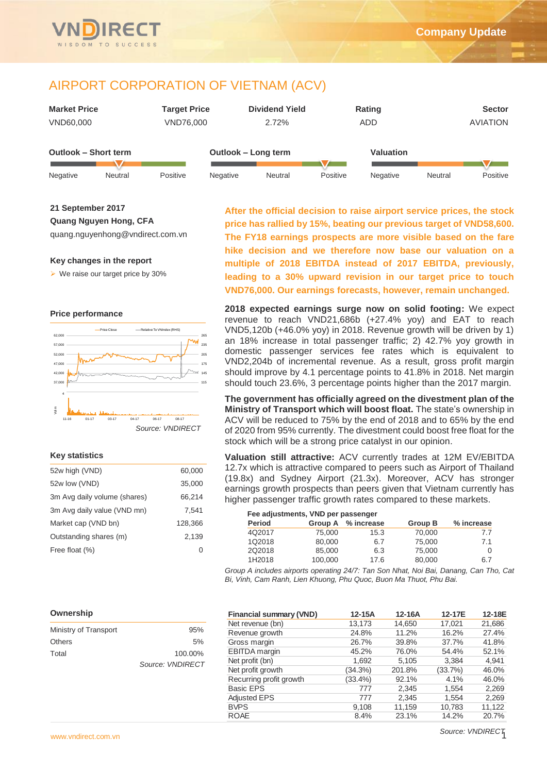

# AIRPORT CORPORATION OF VIETNAM (ACV)

| <b>Market Price</b>  | <b>Target Price</b> | <b>Dividend Yield</b> | Rating           | <b>Sector</b>   |
|----------------------|---------------------|-----------------------|------------------|-----------------|
| VND60,000            | VND76,000           | 2.72%                 | ADD              | <b>AVIATION</b> |
| Outlook - Short term | Outlook – Long term |                       | <b>Valuation</b> |                 |
|                      |                     |                       |                  |                 |

Negative Neutral Positive Negative Neutral Positive Negative Neutral Positive

**21 September 2017**

**Quang Nguyen Hong, CFA**

quang.nguyenhong@vndirect.com.vn

### **Key changes in the report**

 $\triangleright$  We raise our target price by 30%

### **Price performance**



### **Key statistics**

| 52w high (VND)               | 60,000  |
|------------------------------|---------|
| 52w low (VND)                | 35,000  |
| 3m Avg daily volume (shares) | 66,214  |
| 3m Avg daily value (VND mn)  | 7.541   |
| Market cap (VND bn)          | 128,366 |
| Outstanding shares (m)       | 2.139   |
| Free float (%)               |         |

**After the official decision to raise airport service prices, the stock price has rallied by 15%, beating our previous target of VND58,600. The FY18 earnings prospects are more visible based on the fare hike decision and we therefore now base our valuation on a multiple of 2018 EBITDA instead of 2017 EBITDA, previously, leading to a 30% upward revision in our target price to touch VND76,000. Our earnings forecasts, however, remain unchanged.** 

**2018 expected earnings surge now on solid footing:** We expect revenue to reach VND21,686b (+27.4% yoy) and EAT to reach VND5,120b (+46.0% yoy) in 2018. Revenue growth will be driven by 1) an 18% increase in total passenger traffic; 2) 42.7% yoy growth in domestic passenger services fee rates which is equivalent to VND2,204b of incremental revenue. As a result, gross profit margin should improve by 4.1 percentage points to 41.8% in 2018. Net margin should touch 23.6%, 3 percentage points higher than the 2017 margin.

**The government has officially agreed on the divestment plan of the Ministry of Transport which will boost float.** The state's ownership in ACV will be reduced to 75% by the end of 2018 and to 65% by the end of 2020 from 95% currently. The divestment could boost free float for the stock which will be a strong price catalyst in our opinion.

**Valuation still attractive:** ACV currently trades at 12M EV/EBITDA 12.7x which is attractive compared to peers such as Airport of Thailand (19.8x) and Sydney Airport (21.3x). Moreover, ACV has stronger earnings growth prospects than peers given that Vietnam currently has higher passenger traffic growth rates compared to these markets.

### **Fee adjustments, VND per passenger**

| Period |         | Group A % increase | Group B | % increase |
|--------|---------|--------------------|---------|------------|
| 4Q2017 | 75,000  | 15.3               | 70,000  | 7.7        |
| 1Q2018 | 80,000  | 6.7                | 75,000  | 7.1        |
| 202018 | 85,000  | 6.3                | 75,000  | 0          |
| 1H2018 | 100.000 | 17.6               | 80.000  | 6.7        |
|        |         |                    |         |            |

*Group A includes airports operating 24/7: Tan Son Nhat, Noi Bai, Danang, Can Tho, Cat Bi, Vinh, Cam Ranh, Lien Khuong, Phu Quoc, Buon Ma Thuot, Phu Bai.*

#### **Ownership**

| Ministry of Transport | 95%              |
|-----------------------|------------------|
| Others                | 5%               |
| Total                 | 100.00%          |
|                       | Source: VNDIRECT |

| <b>Financial summary (VND)</b> | 12-15A     | 12-16A | 12-17E  | 12-18E |
|--------------------------------|------------|--------|---------|--------|
| Net revenue (bn)               | 13,173     | 14,650 | 17,021  | 21,686 |
| Revenue growth                 | 24.8%      | 11.2%  | 16.2%   | 27.4%  |
| Gross margin                   | 26.7%      | 39.8%  | 37.7%   | 41.8%  |
| <b>EBITDA</b> margin           | 45.2%      | 76.0%  | 54.4%   | 52.1%  |
| Net profit (bn)                | 1.692      | 5.105  | 3.384   | 4.941  |
| Net profit growth              | (34.3%)    | 201.8% | (33.7%) | 46.0%  |
| Recurring profit growth        | $(33.4\%)$ | 92.1%  | 4.1%    | 46.0%  |
| <b>Basic EPS</b>               | 777        | 2,345  | 1.554   | 2,269  |
| <b>Adjusted EPS</b>            | 777        | 2,345  | 1.554   | 2,269  |
| <b>BVPS</b>                    | 9.108      | 11,159 | 10,783  | 11,122 |
| <b>ROAE</b>                    | 8.4%       | 23.1%  | 14.2%   | 20.7%  |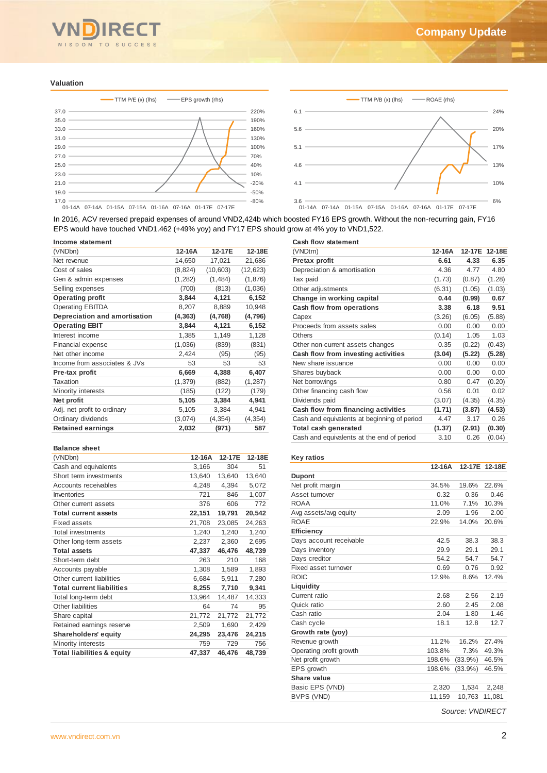

#### **Valuation**





In 2016, ACV reversed prepaid expenses of around VND2,424b which boosted FY16 EPS growth. Without the non-recurring gain, FY16 EPS would have touched VND1.462 (+49% yoy) and FY17 EPS should grow at 4% yoy to VND1,522.

| Income statement              |          |           |           |
|-------------------------------|----------|-----------|-----------|
| (VNDbn)                       | 12-16A   | 12-17E    | 12-18E    |
| Net revenue                   | 14,650   | 17,021    | 21,686    |
| Cost of sales                 | (8,824)  | (10, 603) | (12, 623) |
| Gen & admin expenses          | (1,282)  | (1,484)   | (1,876)   |
| Selling expenses              | (700)    | (813)     | (1,036)   |
| <b>Operating profit</b>       | 3,844    | 4,121     | 6,152     |
| <b>Operating EBITDA</b>       | 8,207    | 8,889     | 10,948    |
| Depreciation and amortisation | (4, 363) | (4,768)   | (4,796)   |
| <b>Operating EBIT</b>         | 3,844    | 4,121     | 6,152     |
| Interest income               | 1,385    | 1,149     | 1,128     |
| <b>Financial expense</b>      | (1,036)  | (839)     | (831)     |
| Net other income              | 2,424    | (95)      | (95)      |
| Income from associates & JVs  | 53       | 53        | 53        |
| Pre-tax profit                | 6,669    | 4,388     | 6,407     |
| Taxation                      | (1, 379) | (882)     | (1, 287)  |
| Minority interests            | (185)    | (122)     | (179)     |
| Net profit                    | 5,105    | 3,384     | 4,941     |
| Adj. net profit to ordinary   | 5,105    | 3,384     | 4,941     |
| Ordinary dividends            | (3,074)  | (4, 354)  | (4, 354)  |
| <b>Retained earnings</b>      | 2,032    | (971)     | 587       |
|                               |          |           |           |

#### **Balance sheet**

| (VNDbn)                               | 12-16A | 12-17E | 12-18E |
|---------------------------------------|--------|--------|--------|
| Cash and equivalents                  | 3,166  | 304    | 51     |
| Short term investments                | 13,640 | 13,640 | 13,640 |
| Accounts receivables                  | 4,248  | 4,394  | 5,072  |
| Inventories                           | 721    | 846    | 1,007  |
| Other current assets                  | 376    | 606    | 772    |
| <b>Total current assets</b>           | 22,151 | 19,791 | 20,542 |
| <b>Fixed assets</b>                   | 21,708 | 23,085 | 24,263 |
| <b>Total investments</b>              | 1,240  | 1,240  | 1,240  |
| Other long-term assets                | 2,237  | 2,360  | 2,695  |
| <b>Total assets</b>                   | 47,337 | 46,476 | 48,739 |
| Short-term debt                       | 263    | 210    | 168    |
| Accounts payable                      | 1,308  | 1,589  | 1,893  |
| Other current liabilities             | 6,684  | 5,911  | 7,280  |
| <b>Total current liabilities</b>      | 8,255  | 7,710  | 9,341  |
| Total long-term debt                  | 13,964 | 14,487 | 14,333 |
| Other liabilities                     | 64     | 74     | 95     |
| Share capital                         | 21,772 | 21,772 | 21,772 |
| Retained earnings reserve             | 2,509  | 1,690  | 2,429  |
| Shareholders' equity                  | 24,295 | 23,476 | 24,215 |
| Minority interests                    | 759    | 729    | 756    |
| <b>Total liabilities &amp; equity</b> | 47,337 | 46,476 | 48,739 |

|  |  |  | <b>Cash flow statement</b> |  |
|--|--|--|----------------------------|--|
|--|--|--|----------------------------|--|

| (VNDtrn)                                    | 12-16A | 12-17E | 12-18E |
|---------------------------------------------|--------|--------|--------|
| Pretax profit                               | 6.61   | 4.33   | 6.35   |
| Depreciation & amortisation                 | 4.36   | 4.77   | 4.80   |
| Tax paid                                    | (1.73) | (0.87) | (1.28) |
| Other adjustments                           | (6.31) | (1.05) | (1.03) |
| Change in working capital                   | 0.44   | (0.99) | 0.67   |
| Cash flow from operations                   | 3.38   | 6.18   | 9.51   |
| Capex                                       | (3.26) | (6.05) | (5.88) |
| Proceeds from assets sales                  | 0.00   | 0.00   | 0.00   |
| Others                                      | (0.14) | 1.05   | 1.03   |
| Other non-current assets changes            | 0.35   | (0.22) | (0.43) |
| Cash flow from investing activities         | (3.04) | (5.22) | (5.28) |
| New share issuance                          | 0.00   | 0.00   | 0.00   |
| Shares buyback                              | 0.00   | 0.00   | 0.00   |
| Net borrowings                              | 0.80   | 0.47   | (0.20) |
| Other financing cash flow                   | 0.56   | 0.01   | 0.02   |
| Dividends paid                              | (3.07) | (4.35) | (4.35) |
| Cash flow from financing activities         | (1.71) | (3.87) | (4.53) |
| Cash and equivalents at beginning of period | 4.47   | 3.17   | 0.26   |
| Total cash generated                        | (1.37) | (2.91) | (0.30) |
| Cash and equivalents at the end of period   | 3.10   | 0.26   | (0.04) |

#### **Key ratios**

| Income statement                      |          |           |           | <b>Cash flow statement</b>                  |        |                  |               |
|---------------------------------------|----------|-----------|-----------|---------------------------------------------|--------|------------------|---------------|
| (VNDbn)                               | 12-16A   | 12-17E    | 12-18E    | (VNDtrn)                                    | 12-16A |                  | 12-17E 12-18E |
| Net revenue                           | 14,650   | 17,021    | 21,686    | Pretax profit                               | 6.61   | 4.33             | 6.35          |
| Cost of sales                         | (8, 824) | (10, 603) | (12, 623) | Depreciation & amortisation                 | 4.36   | 4.77             | 4.80          |
| Gen & admin expenses                  | (1,282)  | (1,484)   | (1,876)   | Tax paid                                    | (1.73) | (0.87)           | (1.28)        |
| Selling expenses                      | (700)    | (813)     | (1,036)   | Other adjustments                           | (6.31) | (1.05)           | (1.03)        |
| <b>Operating profit</b>               | 3,844    | 4,121     | 6,152     | Change in working capital                   | 0.44   | (0.99)           | 0.67          |
| <b>Operating EBITDA</b>               | 8,207    | 8,889     | 10,948    | Cash flow from operations                   | 3.38   | 6.18             | 9.51          |
| Depreciation and amortisation         | (4, 363) | (4,768)   | (4,796)   | Capex                                       | (3.26) | (6.05)           | (5.88)        |
| <b>Operating EBIT</b>                 | 3,844    | 4,121     | 6,152     | Proceeds from assets sales                  | 0.00   | 0.00             | 0.00          |
| Interest income                       | 1,385    | 1,149     | 1,128     | <b>Others</b>                               | (0.14) | 1.05             | 1.03          |
| Financial expense                     | (1,036)  | (839)     | (831)     | Other non-current assets changes            | 0.35   | (0.22)           | (0.43)        |
| Net other income                      | 2,424    | (95)      | (95)      | Cash flow from investing activities         | (3.04) | (5.22)           | (5.28)        |
| Income from associates & JVs          | 53       | 53        | 53        | New share issuance                          | 0.00   | 0.00             | 0.00          |
| Pre-tax profit                        | 6,669    | 4,388     | 6,407     | Shares buyback                              | 0.00   | 0.00             | 0.00          |
| <b>Taxation</b>                       | (1, 379) | (882)     | (1, 287)  | Net borrowings                              | 0.80   | 0.47             | (0.20)        |
| Minority interests                    | (185)    | (122)     | (179)     | Other financing cash flow                   | 0.56   | 0.01             | 0.02          |
| Net profit                            | 5,105    | 3,384     | 4,941     | Dividends paid                              | (3.07) | (4.35)           | (4.35)        |
| Adj. net profit to ordinary           | 5,105    | 3,384     | 4,941     | Cash flow from financing activities         | (1.71) | (3.87)           | (4.53)        |
| Ordinary dividends                    | (3,074)  | (4, 354)  | (4, 354)  | Cash and equivalents at beginning of period | 4.47   | 3.17             | 0.26          |
| <b>Retained earnings</b>              | 2,032    | (971)     | 587       | Total cash generated                        | (1.37) | (2.91)           | (0.30)        |
|                                       |          |           |           | Cash and equivalents at the end of period   | 3.10   | 0.26             | (0.04)        |
|                                       |          |           |           |                                             |        |                  |               |
| <b>Balance sheet</b>                  |          |           |           |                                             |        |                  |               |
| (VNDbn)                               | 12-16A   | 12-17E    | 12-18E    | <b>Key ratios</b>                           | 12-16A |                  |               |
| Cash and equivalents                  | 3,166    | 304       | 51        |                                             |        | 12-17E 12-18E    |               |
| Short term investments                | 13,640   | 13,640    | 13,640    | Dupont                                      |        |                  |               |
| Accounts receivables                  | 4,248    | 4,394     | 5,072     | Net profit margin                           | 34.5%  | 19.6%            | 22.6%         |
| Inventories                           | 721      | 846       | 1,007     | Asset turnover                              | 0.32   | 0.36             | 0.46          |
| Other current assets                  | 376      | 606       | 772       | <b>ROAA</b>                                 | 11.0%  | 7.1%             | 10.3%         |
| <b>Total current assets</b>           | 22,151   | 19,791    | 20,542    | Avg assets/avg equity                       | 2.09   | 1.96             | 2.00          |
| <b>Fixed assets</b>                   | 21,708   | 23,085    | 24,263    | <b>ROAE</b>                                 | 22.9%  | 14.0%            | 20.6%         |
| Total investments                     | 1,240    | 1,240     | 1,240     | <b>Efficiency</b>                           |        |                  |               |
| Other long-term assets                | 2,237    | 2,360     | 2,695     | Days account receivable                     | 42.5   | 38.3             | 38.3          |
| <b>Total assets</b>                   | 47,337   | 46,476    | 48,739    | Days inventory                              | 29.9   | 29.1             | 29.1          |
| Short-term debt                       | 263      | 210       | 168       | Days creditor                               | 54.2   | 54.7             | 54.7          |
| Accounts payable                      | 1,308    | 1,589     | 1,893     | Fixed asset turnover                        | 0.69   | 0.76             | 0.92          |
| Other current liabilities             | 6,684    | 5,911     | 7,280     | <b>ROIC</b>                                 | 12.9%  | 8.6%             | 12.4%         |
| <b>Total current liabilities</b>      | 8,255    | 7,710     | 9,341     | Liquidity                                   |        |                  |               |
| Total long-term debt                  | 13,964   | 14,487    | 14,333    | Current ratio                               | 2.68   | 2.56             | 2.19          |
| Other liabilities                     | 64       | 74        | 95        | Quick ratio                                 | 2.60   | 2.45             | 2.08          |
| Share capital                         | 21,772   | 21,772    | 21,772    | Cash ratio                                  | 2.04   | 1.80             | 1.46          |
| Retained earnings reserve             | 2,509    | 1,690     | 2,429     | Cash cycle                                  | 18.1   | 12.8             | 12.7          |
| Shareholders' equity                  | 24,295   | 23,476    | 24,215    | Growth rate (yoy)                           |        |                  |               |
| Minority interests                    | 759      | 729       | 756       | Revenue growth                              | 11.2%  | 16.2%            | 27.4%         |
| <b>Total liabilities &amp; equity</b> | 47,337   | 46,476    | 48,739    | Operating profit growth                     | 103.8% | 7.3%             | 49.3%         |
|                                       |          |           |           | Net profit growth                           | 198.6% | $(33.9\%)$       | 46.5%         |
|                                       |          |           |           | EPS growth                                  | 198.6% | $(33.9\%)$       | 46.5%         |
|                                       |          |           |           | Share value                                 |        |                  |               |
|                                       |          |           |           | Basic EPS (VND)                             | 2,320  | 1,534            | 2,248         |
|                                       |          |           |           | BVPS (VND)                                  | 11,159 | 10,763 11,081    |               |
|                                       |          |           |           |                                             |        | Source: VNDIRECT |               |
|                                       |          |           |           |                                             |        |                  |               |